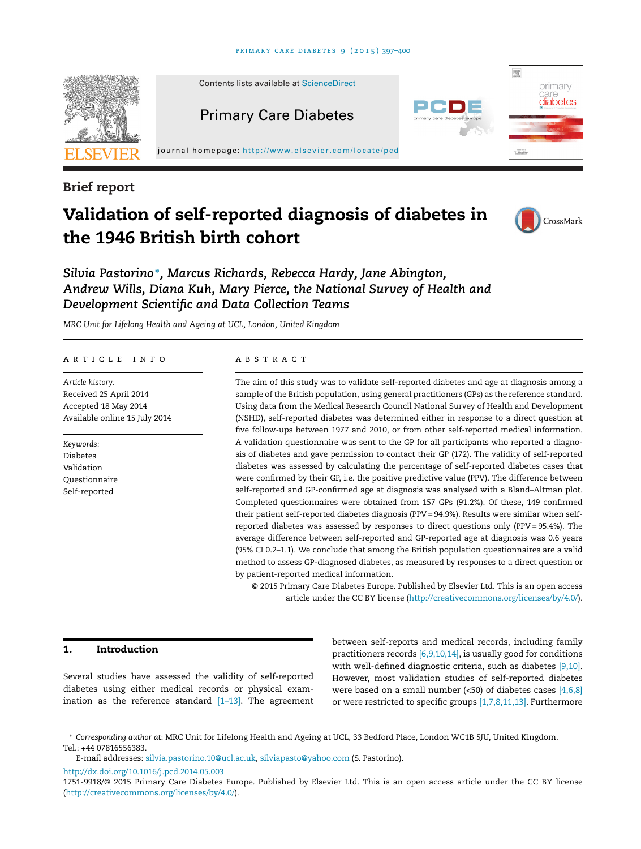

**Brief report**

# **Validation of self-reported diagnosis of diabetes in the 1946 British birth cohort**



*Silvia Pastorino* **<sup>∗</sup>***, Marcus Richards, Rebecca Hardy, Jane Abington, Andrew Wills, Diana Kuh, Mary Pierce, the National Survey of Health and Development Scientific and Data Collection Teams*

*MRC Unit for Lifelong Health and Ageing at UCL, London, United Kingdom*

#### article info

*Article history:* Received 25 April 2014 Accepted 18 May 2014 Available online 15 July 2014

*Keywords:* Diabetes Validation Questionnaire Self-reported

#### A B S T R A C T

The aim of this study was to validate self-reported diabetes and age at diagnosis among a sample of the British population, using general practitioners (GPs) as the reference standard. Using data from the Medical Research Council National Survey of Health and Development (NSHD), self-reported diabetes was determined either in response to a direct question at five follow-ups between 1977 and 2010, or from other self-reported medical information. A validation questionnaire was sent to the GP for all participants who reported a diagnosis of diabetes and gave permission to contact their GP (172). The validity of self-reported diabetes was assessed by calculating the percentage of self-reported diabetes cases that were confirmed by their GP, i.e. the positive predictive value (PPV). The difference between self-reported and GP-confirmed age at diagnosis was analysed with a Bland–Altman plot. Completed questionnaires were obtained from 157 GPs (91.2%). Of these, 149 confirmed their patient self-reported diabetes diagnosis (PPV = 94.9%). Results were similar when selfreported diabetes was assessed by responses to direct questions only (PPV = 95.4%). The average difference between self-reported and GP-reported age at diagnosis was 0.6 years (95% CI 0.2–1.1). We conclude that among the British population questionnaires are a valid method to assess GP-diagnosed diabetes, as measured by responses to a direct question or by patient-reported medical information.

© 2015 Primary Care Diabetes Europe. Published by Elsevier Ltd. This is an open access article under the CC BY license [\(http://creativecommons.org/licenses/by/4.0/\)](http://creativecommons.org/licenses/by/4.0/).

### **1. Introduction**

Several studies have assessed the validity of self-reported diabetes using either medical records or physical examination as the reference standard  $[1-13]$ . The agreement between self-reports and medical records, including family practitioners records [\[6,9,10,14\], i](#page-2-0)s usually good for conditions with well-defined diagnostic criteria, such as diabetes [\[9,10\].](#page-2-0) However, most validation studies of self-reported diabetes were based on a small number  $\langle$ <50) of diabetes cases  $[4,6,8]$ or were restricted to specific groups [\[1,7,8,11,13\]. F](#page-2-0)urthermore

[http://dx.doi.org/10.1016/j.pcd.2014.05.003](dx.doi.org/10.1016/j.pcd.2014.05.003)

<sup>∗</sup> *Corresponding author at*: MRC Unit for Lifelong Health and Ageing at UCL, 33 Bedford Place, London WC1B 5JU, United Kingdom. Tel.: +44 07816556383.

E-mail addresses: [silvia.pastorino.10@ucl.ac.uk,](mailto:silvia.pastorino.10@ucl.ac.uk) [silviapasto@yahoo.com](mailto:silviapasto@yahoo.com) (S. Pastorino).

<sup>1751-9918/© 2015</sup> Primary Care Diabetes Europe. Published by Elsevier Ltd. This is an open access article under the CC BY license [\(http://creativecommons.org/licenses/by/4.0/\)](http://creativecommons.org/licenses/by/4.0/).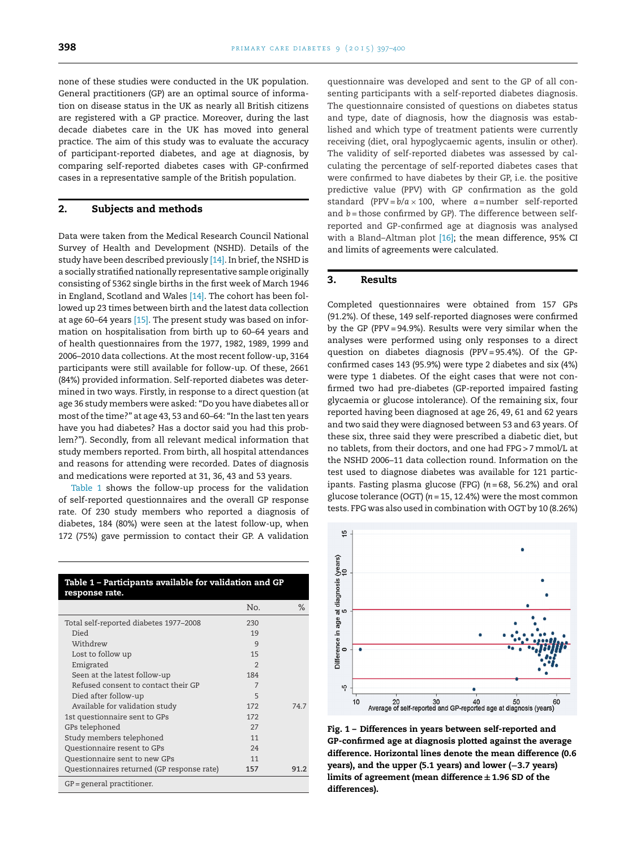<span id="page-1-0"></span>none of these studies were conducted in the UK population. General practitioners (GP) are an optimal source of information on disease status in the UK as nearly all British citizens are registered with a GP practice. Moreover, during the last decade diabetes care in the UK has moved into general practice. The aim of this study was to evaluate the accuracy of participant-reported diabetes, and age at diagnosis, by comparing self-reported diabetes cases with GP-confirmed cases in a representative sample of the British population.

## **2. Subjects and methods**

Data were taken from the Medical Research Council National Survey of Health and Development (NSHD). Details of the study have been described previously [\[14\]. I](#page-3-0)n brief, the NSHD is a socially stratified nationally representative sample originally consisting of 5362 single births in the first week of March 1946 in England, Scotland and Wales <a>[14]</a>. The cohort has been followed up 23 times between birth and the latest data collection at age 60–64 years [\[15\]. T](#page-3-0)he present study was based on information on hospitalisation from birth up to 60–64 years and of health questionnaires from the 1977, 1982, 1989, 1999 and 2006–2010 data collections. At the most recent follow-up, 3164 participants were still available for follow-up. Of these, 2661 (84%) provided information. Self-reported diabetes was determined in two ways. Firstly, in response to a direct question (at age 36 study members were asked: "Do you have diabetes all or most of the time?" at age 43, 53 and 60–64: "In the last ten years have you had diabetes? Has a doctor said you had this problem?"). Secondly, from all relevant medical information that study members reported. From birth, all hospital attendances and reasons for attending were recorded. Dates of diagnosis and medications were reported at 31, 36, 43 and 53 years.

Table 1 shows the follow-up process for the validation of self-reported questionnaires and the overall GP response rate. Of 230 study members who reported a diagnosis of diabetes, 184 (80%) were seen at the latest follow-up, when 172 (75%) gave permission to contact their GP. A validation

| response rate.                             |                |      |
|--------------------------------------------|----------------|------|
|                                            | No.            | ℅    |
| Total self-reported diabetes 1977–2008     | 230            |      |
| Died                                       | 19             |      |
| Withdrew                                   | 9              |      |
| Lost to follow up                          | 15             |      |
| Emigrated                                  | $\mathfrak{D}$ |      |
| Seen at the latest follow-up               | 184            |      |
| Refused consent to contact their GP        | 7              |      |
| Died after follow-up                       | 5              |      |
| Available for validation study             | 172            | 74.7 |
| 1st questionnaire sent to GPs              | 172            |      |
| GPs telephoned                             | 27             |      |
| Study members telephoned                   | 11             |      |
| Questionnaire resent to GPs                | 24             |      |
| Questionnaire sent to new GPs              | 11             |      |
| Questionnaires returned (GP response rate) | 157            | 91.2 |
| $GP = general$ practitioner.               |                |      |

**Table 1 – Participants available for validation and GP response rate.**

questionnaire was developed and sent to the GP of all consenting participants with a self-reported diabetes diagnosis. The questionnaire consisted of questions on diabetes status and type, date of diagnosis, how the diagnosis was established and which type of treatment patients were currently receiving (diet, oral hypoglycaemic agents, insulin or other). The validity of self-reported diabetes was assessed by calculating the percentage of self-reported diabetes cases that were confirmed to have diabetes by their GP, i.e. the positive predictive value (PPV) with GP confirmation as the gold standard (PPV =  $b/a \times 100$ , where  $a =$  number self-reported and *b* = those confirmed by GP). The difference between selfreported and GP-confirmed age at diagnosis was analysed with a Bland–Altman plot [\[16\];](#page-3-0) the mean difference, 95% CI and limits of agreements were calculated.

#### **3. Results**

Completed questionnaires were obtained from 157 GPs (91.2%). Of these, 149 self-reported diagnoses were confirmed by the GP (PPV = 94.9%). Results were very similar when the analyses were performed using only responses to a direct question on diabetes diagnosis (PPV = 95.4%). Of the GPconfirmed cases 143 (95.9%) were type 2 diabetes and six (4%) were type 1 diabetes. Of the eight cases that were not confirmed two had pre-diabetes (GP-reported impaired fasting glycaemia or glucose intolerance). Of the remaining six, four reported having been diagnosed at age 26, 49, 61 and 62 years and two said they were diagnosed between 53 and 63 years. Of these six, three said they were prescribed a diabetic diet, but no tablets, from their doctors, and one had FPG > 7mmol/L at the NSHD 2006–11 data collection round. Information on the test used to diagnose diabetes was available for 121 participants. Fasting plasma glucose (FPG) (*n* = 68, 56.2%) and oral glucose tolerance (OGT) (*n* = 15, 12.4%) were the most common tests. FPG was also used in combination with OGT by 10 (8.26%)



**Fig. 1 – Differences in years between self-reported and GP-confirmed age at diagnosis plotted against the average difference. Horizontal lines denote the mean difference (0.6 years), and the upper (5.1 years) and lower (−3.7 years) limits of agreement (mean difference ± 1.96 SD of the differences).**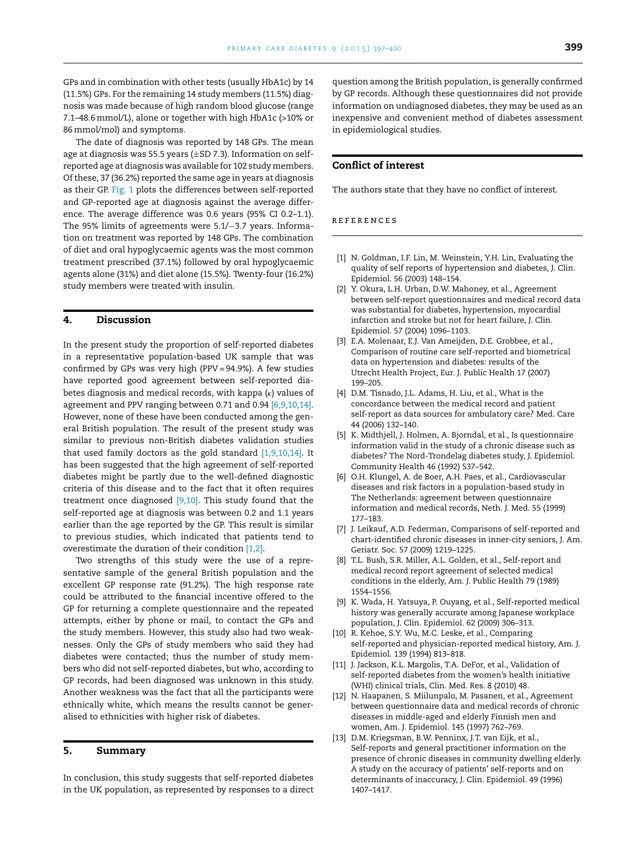<span id="page-2-0"></span>GPs and in combination with other tests (usually HbA1c) by 14 (11.5%) GPs. For the remaining 14 study members (11.5%) diagnosis was made because of high random blood glucose (range 7.1–48.6mmol/L), alone or together with high HbA1c (>10% or 86mmol/mol) and symptoms.

The date of diagnosis was reported by 148 GPs. The mean age at diagnosis was 55.5 years (±SD 7.3). Information on selfreported age at diagnosis was available for 102 study members. Of these, 37 (36.2%) reported the same age in years at diagnosis as their GP. [Fig. 1](#page-1-0) plots the differences between self-reported and GP-reported age at diagnosis against the average difference. The average difference was 0.6 years (95% CI 0.2–1.1). The 95% limits of agreements were 5.1/−3.7 years. Information on treatment was reported by 148 GPs. The combination of diet and oral hypoglycaemic agents was the most common treatment prescribed (37.1%) followed by oral hypoglycaemic agents alone (31%) and diet alone (15.5%). Twenty-four (16.2%) study members were treated with insulin.

### **4. Discussion**

In the present study the proportion of self-reported diabetes in a representative population-based UK sample that was confirmed by GPs was very high (PPV = 94.9%). A few studies have reported good agreement between self-reported diabetes diagnosis and medical records, with kappa  $(\kappa)$  values of agreement and PPV ranging between 0.71 and 0.94 [6,9,10,14]. However, none of these have been conducted among the general British population. The result of the present study was similar to previous non-British diabetes validation studies that used family doctors as the gold standard  $[1,9,10,14]$ . It has been suggested that the high agreement of self-reported diabetes might be partly due to the well-defined diagnostic criteria of this disease and to the fact that it often requires treatment once diagnosed [9,10]. This study found that the self-reported age at diagnosis was between 0.2 and 1.1 years earlier than the age reported by the GP. This result is similar to previous studies, which indicated that patients tend to overestimate the duration of their condition [1,2].

Two strengths of this study were the use of a representative sample of the general British population and the excellent GP response rate (91.2%). The high response rate could be attributed to the financial incentive offered to the GP for returning a complete questionnaire and the repeated attempts, either by phone or mail, to contact the GPs and the study members. However, this study also had two weaknesses. Only the GPs of study members who said they had diabetes were contacted; thus the number of study members who did not self-reported diabetes, but who, according to GP records, had been diagnosed was unknown in this study. Another weakness was the fact that all the participants were ethnically white, which means the results cannot be generalised to ethnicities with higher risk of diabetes.

#### **5. Summary**

In conclusion, this study suggests that self-reported diabetes in the UK population, as represented by responses to a direct

question among the British population, is generally confirmed by GP records. Although these questionnaires did not provide information on undiagnosed diabetes, they may be used as an inexpensive and convenient method of diabetes assessment in epidemiological studies.

#### **Conflict of interest**

The authors state that they have no conflict of interest.

#### references

- [1] N. Goldman, I.F. Lin, M. Weinstein, Y.H. Lin, Evaluating the quality of self reports of hypertension and diabetes, J. Clin. Epidemiol. 56 (2003) 148–154.
- [2] Y. Okura, L.H. Urban, D.W. Mahoney, et al., Agreement between self-report questionnaires and medical record data was substantial for diabetes, hypertension, myocardial infarction and stroke but not for heart failure, J. Clin. Epidemiol. 57 (2004) 1096–1103.
- [3] E.A. Molenaar, E.J. Van Ameijden, D.E. Grobbee, et al., Comparison of routine care self-reported and biometrical data on hypertension and diabetes: results of the Utrecht Health Project, Eur. J. Public Health 17 (2007) 199–205.
- [4] D.M. Tisnado, J.L. Adams, H. Liu, et al., What is the concordance between the medical record and patient self-report as data sources for ambulatory care? Med. Care 44 (2006) 132–140.
- [5] K. Midthjell, J. Holmen, A. Bjorndal, et al., Is questionnaire information valid in the study of a chronic disease such as diabetes? The Nord-Trondelag diabetes study, J. Epidemiol. Community Health 46 (1992) 537–542.
- [6] O.H. Klungel, A. de Boer, A.H. Paes, et al., Cardiovascular diseases and risk factors in a population-based study in The Netherlands: agreement between questionnaire information and medical records, Neth. J. Med. 55 (1999) 177–183.
- [7] J. Leikauf, A.D. Federman, Comparisons of self-reported and chart-identified chronic diseases in inner-city seniors, J. Am. Geriatr. Soc. 57 (2009) 1219–1225.
- [8] T.L. Bush, S.R. Miller, A.L. Golden, et al., Self-report and medical record report agreement of selected medical conditions in the elderly, Am. J. Public Health 79 (1989) 1554–1556.
- [9] K. Wada, H. Yatsuya, P. Ouyang, et al., Self-reported medical history was generally accurate among Japanese workplace population, J. Clin. Epidemiol. 62 (2009) 306–313.
- [10] R. Kehoe, S.Y. Wu, M.C. Leske, et al., Comparing self-reported and physician-reported medical history, Am. J. Epidemiol. 139 (1994) 813–818.
- [11] J. Jackson, K.L. Margolis, T.A. DeFor, et al., Validation of self-reported diabetes from the women's health initiative (WHI) clinical trials, Clin. Med. Res. 8 (2010) 48.
- [12] N. Haapanen, S. Miilunpalo, M. Pasanen, et al., Agreement between questionnaire data and medical records of chronic diseases in middle-aged and elderly Finnish men and women, Am. J. Epidemiol. 145 (1997) 762–769.
- [13] D.M. Kriegsman, B.W. Penninx, J.T. van Eijk, et al., Self-reports and general practitioner information on the presence of chronic diseases in community dwelling elderly. A study on the accuracy of patients' self-reports and on determinants of inaccuracy, J. Clin. Epidemiol. 49 (1996) 1407–1417.